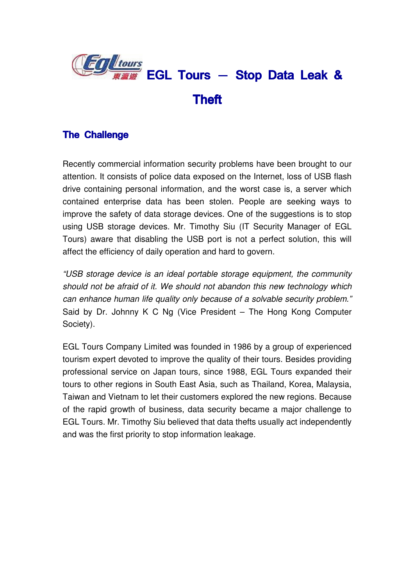

## The Challenge

Recently commercial information security problems have been brought to our attention. It consists of police data exposed on the Internet, loss of USB flash drive containing personal information, and the worst case is, a server which contained enterprise data has been stolen. People are seeking ways to improve the safety of data storage devices. One of the suggestions is to stop using USB storage devices. Mr. Timothy Siu (IT Security Manager of EGL Tours) aware that disabling the USB port is not a perfect solution, this will affect the efficiency of daily operation and hard to govern.

"USB storage device is an ideal portable storage equipment, the community should not be afraid of it. We should not abandon this new technology which can enhance human life quality only because of a solvable security problem." Said by Dr. Johnny K C Ng (Vice President – The Hong Kong Computer Society).

EGL Tours Company Limited was founded in 1986 by a group of experienced tourism expert devoted to improve the quality of their tours. Besides providing professional service on Japan tours, since 1988, EGL Tours expanded their tours to other regions in South East Asia, such as Thailand, Korea, Malaysia, Taiwan and Vietnam to let their customers explored the new regions. Because of the rapid growth of business, data security became a major challenge to EGL Tours. Mr. Timothy Siu believed that data thefts usually act independently and was the first priority to stop information leakage.